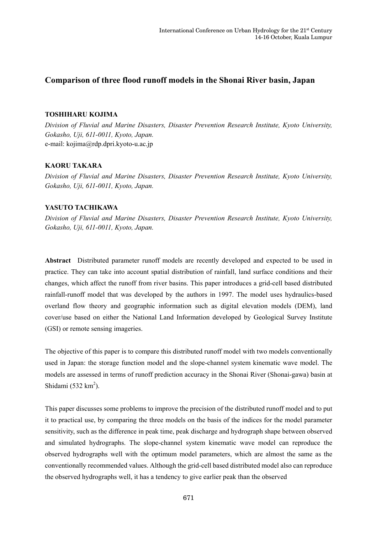# **Comparison of three flood runoff models in the Shonai River basin, Japan**

#### **TOSHIHARU KOJIMA**

*Division of Fluvial and Marine Disasters, Disaster Prevention Research Institute, Kyoto University, Gokasho, Uji, 611-0011, Kyoto, Japan.*  e-mail: kojima@rdp.dpri.kyoto-u.ac.jp

# **KAORU TAKARA**

*Division of Fluvial and Marine Disasters, Disaster Prevention Research Institute, Kyoto University, Gokasho, Uji, 611-0011, Kyoto, Japan.* 

# **YASUTO TACHIKAWA**

*Division of Fluvial and Marine Disasters, Disaster Prevention Research Institute, Kyoto University, Gokasho, Uji, 611-0011, Kyoto, Japan.* 

**Abstract** Distributed parameter runoff models are recently developed and expected to be used in practice. They can take into account spatial distribution of rainfall, land surface conditions and their changes, which affect the runoff from river basins. This paper introduces a grid-cell based distributed rainfall-runoff model that was developed by the authors in 1997. The model uses hydraulics-based overland flow theory and geographic information such as digital elevation models (DEM), land cover/use based on either the National Land Information developed by Geological Survey Institute (GSI) or remote sensing imageries.

The objective of this paper is to compare this distributed runoff model with two models conventionally used in Japan: the storage function model and the slope-channel system kinematic wave model. The models are assessed in terms of runoff prediction accuracy in the Shonai River (Shonai-gawa) basin at Shidami  $(532 \text{ km}^2)$ .

This paper discusses some problems to improve the precision of the distributed runoff model and to put it to practical use, by comparing the three models on the basis of the indices for the model parameter sensitivity, such as the difference in peak time, peak discharge and hydrograph shape between observed and simulated hydrographs. The slope-channel system kinematic wave model can reproduce the observed hydrographs well with the optimum model parameters, which are almost the same as the conventionally recommended values. Although the grid-cell based distributed model also can reproduce the observed hydrographs well, it has a tendency to give earlier peak than the observed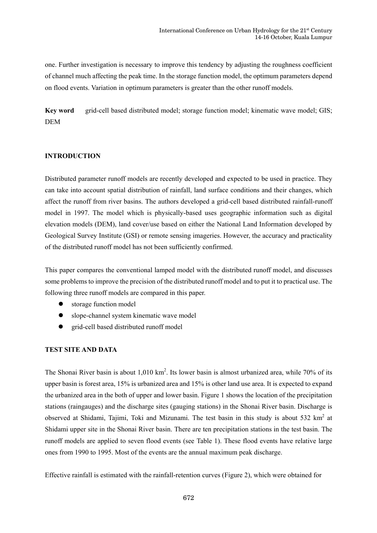one. Further investigation is necessary to improve this tendency by adjusting the roughness coefficient of channel much affecting the peak time. In the storage function model, the optimum parameters depend on flood events. Variation in optimum parameters is greater than the other runoff models.

Key word grid-cell based distributed model; storage function model; kinematic wave model; GIS; DEM

# **INTRODUCTION**

Distributed parameter runoff models are recently developed and expected to be used in practice. They can take into account spatial distribution of rainfall, land surface conditions and their changes, which affect the runoff from river basins. The authors developed a grid-cell based distributed rainfall-runoff model in 1997. The model which is physically-based uses geographic information such as digital elevation models (DEM), land cover/use based on either the National Land Information developed by Geological Survey Institute (GSI) or remote sensing imageries. However, the accuracy and practicality of the distributed runoff model has not been sufficiently confirmed.

This paper compares the conventional lamped model with the distributed runoff model, and discusses some problems to improve the precision of the distributed runoff model and to put it to practical use. The following three runoff models are compared in this paper.

- storage function model
- slope-channel system kinematic wave model
- grid-cell based distributed runoff model

# **TEST SITE AND DATA**

The Shonai River basin is about  $1,010 \text{ km}^2$ . Its lower basin is almost urbanized area, while 70% of its upper basin is forest area, 15% is urbanized area and 15% is other land use area. It is expected to expand the urbanized area in the both of upper and lower basin. Figure 1 shows the location of the precipitation stations (raingauges) and the discharge sites (gauging stations) in the Shonai River basin. Discharge is observed at Shidami, Tajimi, Toki and Mizunami. The test basin in this study is about 532  $km^2$  at Shidami upper site in the Shonai River basin. There are ten precipitation stations in the test basin. The runoff models are applied to seven flood events (see Table 1). These flood events have relative large ones from 1990 to 1995. Most of the events are the annual maximum peak discharge.

Effective rainfall is estimated with the rainfall-retention curves (Figure 2), which were obtained for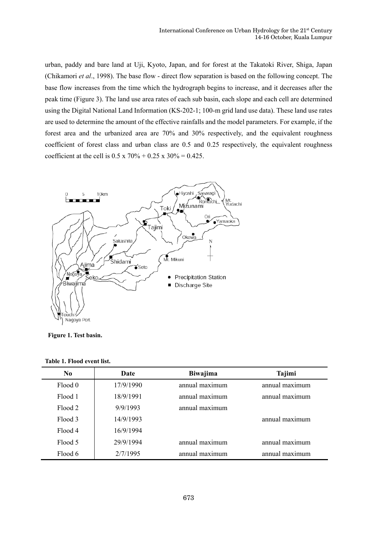urban, paddy and bare land at Uji, Kyoto, Japan, and for forest at the Takatoki River, Shiga, Japan (Chikamori *et al*., 1998). The base flow - direct flow separation is based on the following concept. The base flow increases from the time which the hydrograph begins to increase, and it decreases after the peak time (Figure 3). The land use area rates of each sub basin, each slope and each cell are determined using the Digital National Land Information (KS-202-1; 100-m grid land use data). These land use rates are used to determine the amount of the effective rainfalls and the model parameters. For example, if the forest area and the urbanized area are 70% and 30% respectively, and the equivalent roughness coefficient of forest class and urban class are 0.5 and 0.25 respectively, the equivalent roughness coefficient at the cell is  $0.5 \times 70\% + 0.25 \times 30\% = 0.425$ .



**Figure 1. Test basin.**

| Table 1. Flood event list. |  |  |  |  |
|----------------------------|--|--|--|--|
|----------------------------|--|--|--|--|

| N <sub>0</sub> | Date      | Biwajima       | Tajimi         |
|----------------|-----------|----------------|----------------|
| Flood 0        | 17/9/1990 | annual maximum | annual maximum |
| Flood 1        | 18/9/1991 | annual maximum | annual maximum |
| Flood 2        | 9/9/1993  | annual maximum |                |
| Flood 3        | 14/9/1993 |                | annual maximum |
| Flood 4        | 16/9/1994 |                |                |
| Flood 5        | 29/9/1994 | annual maximum | annual maximum |
| Flood 6        | 2/7/1995  | annual maximum | annual maximum |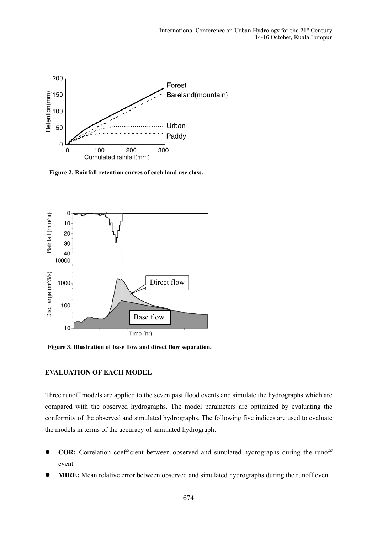

**Figure 2. Rainfall-retention curves of each land use class.**



**Figure 3. Illustration of base flow and direct flow separation.**

# **EVALUATION OF EACH MODEL**

Three runoff models are applied to the seven past flood events and simulate the hydrographs which are compared with the observed hydrographs. The model parameters are optimized by evaluating the conformity of the observed and simulated hydrographs. The following five indices are used to evaluate the models in terms of the accuracy of simulated hydrograph.

- z **COR:** Correlation coefficient between observed and simulated hydrographs during the runoff event
- **MIRE:** Mean relative error between observed and simulated hydrographs during the runoff event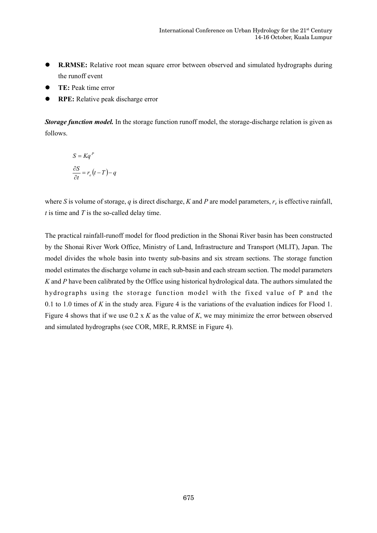- **R.RMSE:** Relative root mean square error between observed and simulated hydrographs during the runoff event
- **TE:** Peak time error
- **RPE:** Relative peak discharge error

*Storage function model.* In the storage function runoff model, the storage-discharge relation is given as follows.

$$
S = Kq^{P}
$$

$$
\frac{\partial S}{\partial t} = r_e(t - T) - q
$$

where *S* is volume of storage, *q* is direct discharge, *K* and *P* are model parameters,  $r_e$  is effective rainfall, *t* is time and *T* is the so-called delay time.

The practical rainfall-runoff model for flood prediction in the Shonai River basin has been constructed by the Shonai River Work Office, Ministry of Land, Infrastructure and Transport (MLIT), Japan. The model divides the whole basin into twenty sub-basins and six stream sections. The storage function model estimates the discharge volume in each sub-basin and each stream section. The model parameters *K* and *P* have been calibrated by the Office using historical hydrological data. The authors simulated the hydrographs using the storage function model with the fixed value of P and the 0.1 to 1.0 times of *K* in the study area. Figure 4 is the variations of the evaluation indices for Flood 1. Figure 4 shows that if we use 0.2 x *K* as the value of *K*, we may minimize the error between observed and simulated hydrographs (see COR, MRE, R.RMSE in Figure 4).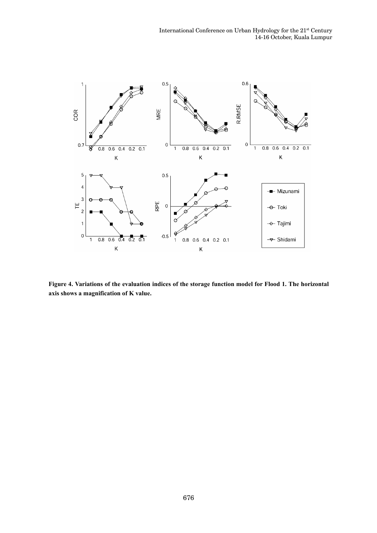

**Figure 4. Variations of the evaluation indices of the storage function model for Flood 1. The horizontal axis shows a magnification of K value.**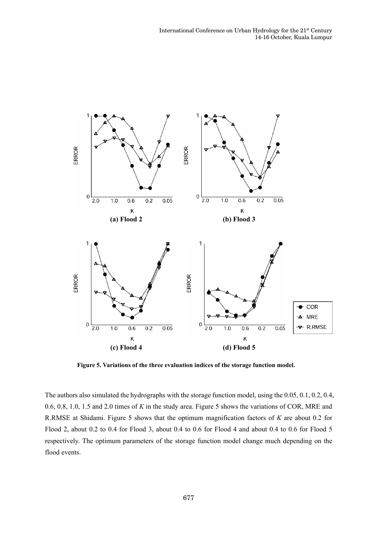

**Figure 5. Variations of the three evaluation indices of the storage function model.**

The authors also simulated the hydrographs with the storage function model, using the 0.05, 0.1, 0.2, 0.4, 0.6, 0.8, 1.0, 1.5 and 2.0 times of *K* in the study area. Figure 5 shows the variations of COR, MRE and R.RMSE at Shidami. Figure 5 shows that the optimum magnification factors of *K* are about 0.2 for Flood 2, about 0.2 to 0.4 for Flood 3, about 0.4 to 0.6 for Flood 4 and about 0.4 to 0.6 for Flood 5 respectively. The optimum parameters of the storage function model change much depending on the flood events.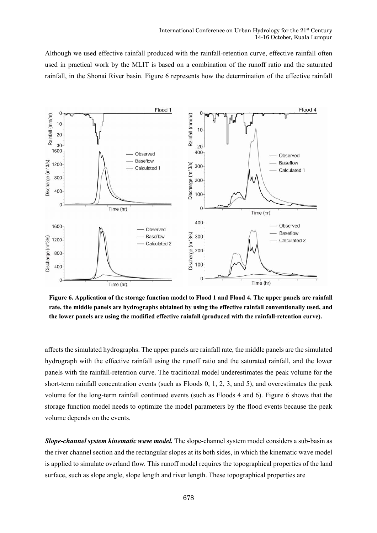Although we used effective rainfall produced with the rainfall-retention curve, effective rainfall often used in practical work by the MLIT is based on a combination of the runoff ratio and the saturated rainfall, in the Shonai River basin. Figure 6 represents how the determination of the effective rainfall



**Figure 6. Application of the storage function model to Flood 1 and Flood 4. The upper panels are rainfall rate, the middle panels are hydrographs obtained by using the effective rainfall conventionally used, and the lower panels are using the modified effective rainfall (produced with the rainfall-retention curve).**

affects the simulated hydrographs. The upper panels are rainfall rate, the middle panels are the simulated hydrograph with the effective rainfall using the runoff ratio and the saturated rainfall, and the lower panels with the rainfall-retention curve. The traditional model underestimates the peak volume for the short-term rainfall concentration events (such as Floods 0, 1, 2, 3, and 5), and overestimates the peak volume for the long-term rainfall continued events (such as Floods 4 and 6). Figure 6 shows that the storage function model needs to optimize the model parameters by the flood events because the peak volume depends on the events.

*Slope-channel system kinematic wave model.* The slope-channel system model considers a sub-basin as the river channel section and the rectangular slopes at its both sides, in which the kinematic wave model is applied to simulate overland flow. This runoff model requires the topographical properties of the land surface, such as slope angle, slope length and river length. These topographical properties are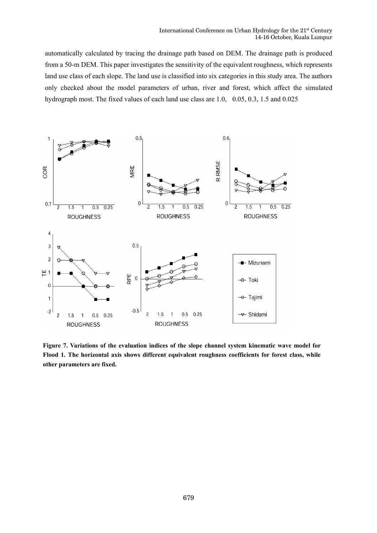automatically calculated by tracing the drainage path based on DEM. The drainage path is produced from a 50-m DEM. This paper investigates the sensitivity of the equivalent roughness, which represents land use class of each slope. The land use is classified into six categories in this study area. The authors only checked about the model parameters of urban, river and forest, which affect the simulated hydrograph most. The fixed values of each land use class are 1.0, 0.05, 0.3, 1.5 and 0.025



**Figure 7. Variations of the evaluation indices of the slope channel system kinematic wave model for Flood 1. The horizontal axis shows different equivalent roughness coefficients for forest class, while other parameters are fixed.**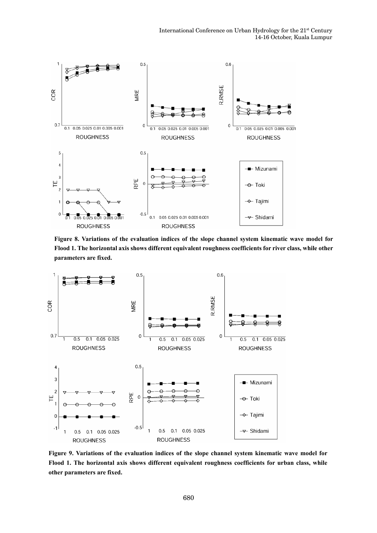

**Figure 8. Variations of the evaluation indices of the slope channel system kinematic wave model for Flood 1. The horizontal axis shows different equivalent roughness coefficients for river class, while other parameters are fixed.**



**Figure 9. Variations of the evaluation indices of the slope channel system kinematic wave model for Flood 1. The horizontal axis shows different equivalent roughness coefficients for urban class, while other parameters are fixed.**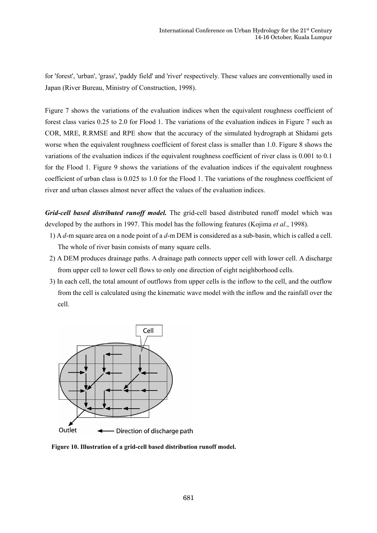for 'forest', 'urban', 'grass', 'paddy field' and 'river' respectively. These values are conventionally used in Japan (River Bureau, Ministry of Construction, 1998).

Figure 7 shows the variations of the evaluation indices when the equivalent roughness coefficient of forest class varies 0.25 to 2.0 for Flood 1. The variations of the evaluation indices in Figure 7 such as COR, MRE, R.RMSE and RPE show that the accuracy of the simulated hydrograph at Shidami gets worse when the equivalent roughness coefficient of forest class is smaller than 1.0. Figure 8 shows the variations of the evaluation indices if the equivalent roughness coefficient of river class is 0.001 to 0.1 for the Flood 1. Figure 9 shows the variations of the evaluation indices if the equivalent roughness coefficient of urban class is 0.025 to 1.0 for the Flood 1. The variations of the roughness coefficient of river and urban classes almost never affect the values of the evaluation indices.

*Grid-cell based distributed runoff model.* The grid-cell based distributed runoff model which was developed by the authors in 1997. This model has the following features (Kojima *et al*., 1998).

- 1) A *d*-m square area on a node point of a *d*-m DEM is considered as a sub-basin, which is called a cell. The whole of river basin consists of many square cells.
- 2) A DEM produces drainage paths. A drainage path connects upper cell with lower cell. A discharge from upper cell to lower cell flows to only one direction of eight neighborhood cells.
- 3) In each cell, the total amount of outflows from upper cells is the inflow to the cell, and the outflow from the cell is calculated using the kinematic wave model with the inflow and the rainfall over the cell.



**Figure 10. Illustration of a grid-cell based distribution runoff model.**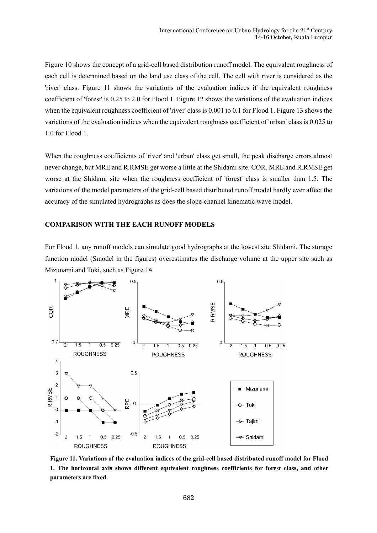Figure 10 shows the concept of a grid-cell based distribution runoff model. The equivalent roughness of each cell is determined based on the land use class of the cell. The cell with river is considered as the 'river' class. Figure 11 shows the variations of the evaluation indices if the equivalent roughness coefficient of 'forest' is 0.25 to 2.0 for Flood 1. Figure 12 shows the variations of the evaluation indices when the equivalent roughness coefficient of 'river' class is 0.001 to 0.1 for Flood 1. Figure 13 shows the variations of the evaluation indices when the equivalent roughness coefficient of 'urban' class is 0.025 to 1.0 for Flood 1.

When the roughness coefficients of 'river' and 'urban' class get small, the peak discharge errors almost never change, but MRE and R.RMSE get worse a little at the Shidami site. COR, MRE and R.RMSE get worse at the Shidami site when the roughness coefficient of 'forest' class is smaller than 1.5. The variations of the model parameters of the grid-cell based distributed runoff model hardly ever affect the accuracy of the simulated hydrographs as does the slope-channel kinematic wave model.

#### **COMPARISON WITH THE EACH RUNOFF MODELS**

For Flood 1, any runoff models can simulate good hydrographs at the lowest site Shidami. The storage function model (Smodel in the figures) overestimates the discharge volume at the upper site such as Mizunami and Toki, such as Figure 14.



**Figure 11. Variations of the evaluation indices of the grid-cell based distributed runoff model for Flood 1. The horizontal axis shows different equivalent roughness coefficients for forest class, and other parameters are fixed.**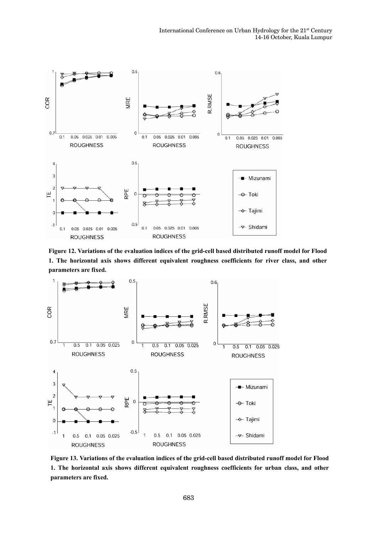

**Figure 12. Variations of the evaluation indices of the grid-cell based distributed runoff model for Flood 1. The horizontal axis shows different equivalent roughness coefficients for river class, and other parameters are fixed.**



**Figure 13. Variations of the evaluation indices of the grid-cell based distributed runoff model for Flood 1. The horizontal axis shows different equivalent roughness coefficients for urban class, and other parameters are fixed.**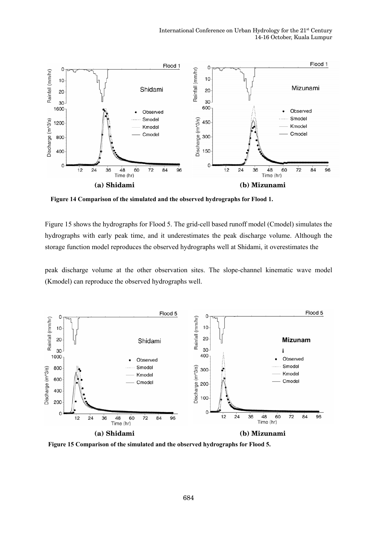

**Figure 14 Comparison of the simulated and the observed hydrographs for Flood 1.** 

Figure 15 shows the hydrographs for Flood 5. The grid-cell based runoff model (Cmodel) simulates the hydrographs with early peak time, and it underestimates the peak discharge volume. Although the storage function model reproduces the observed hydrographs well at Shidami, it overestimates the

peak discharge volume at the other observation sites. The slope-channel kinematic wave model (Kmodel) can reproduce the observed hydrographs well.



**Figure 15 Comparison of the simulated and the observed hydrographs for Flood 5.**